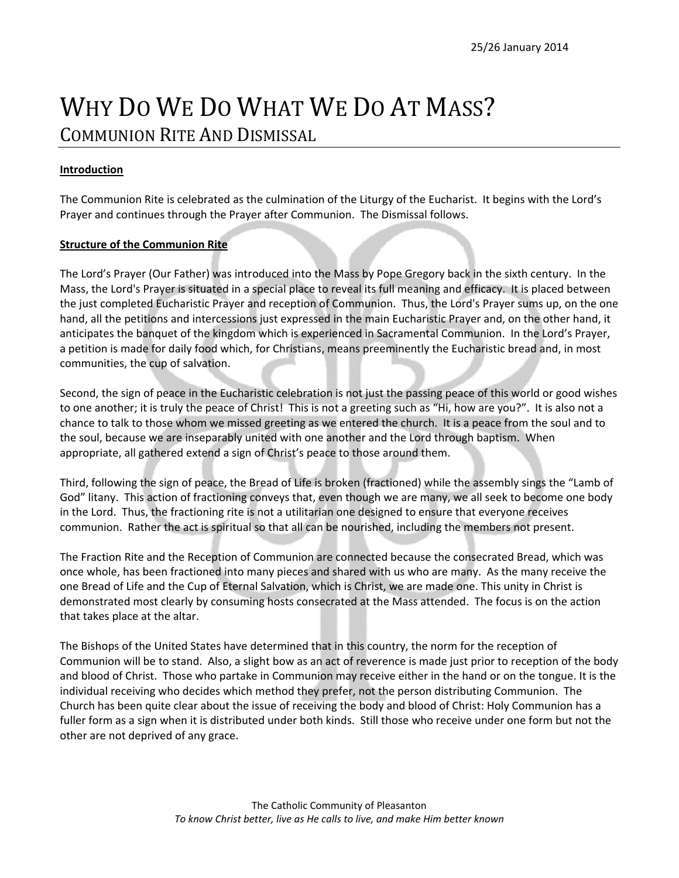## WHY DO WE DO WHAT WE DO AT MASS? COMMUNION RITE AND DISMISSAL

## **Introduction**

The Communion Rite is celebrated as the culmination of the Liturgy of the Eucharist. It begins with the Lord's Prayer and continues through the Prayer after Communion. The Dismissal follows.

## **Structure of the Communion Rite**

The Lord's Prayer (Our Father) was introduced into the Mass by Pope Gregory back in the sixth century. In the Mass, the Lord's Prayer is situated in a special place to reveal its full meaning and efficacy. It is placed between the just completed Eucharistic Prayer and reception of Communion. Thus, the Lord's Prayer sums up, on the one hand, all the petitions and intercessions just expressed in the main Eucharistic Prayer and, on the other hand, it anticipates the banquet of the kingdom which is experienced in Sacramental Communion. In the Lord's Prayer, a petition is made for daily food which, for Christians, means preeminently the Eucharistic bread and, in most communities, the cup of salvation.

Second, the sign of peace in the Eucharistic celebration is not just the passing peace of this world or good wishes to one another; it is truly the peace of Christ! This is not a greeting such as "Hi, how are you?". It is also not a chance to talk to those whom we missed greeting as we entered the church. It is a peace from the soul and to the soul, because we are inseparably united with one another and the Lord through baptism. When appropriate, all gathered extend a sign of Christ's peace to those around them.

Third, following the sign of peace, the Bread of Life is broken (fractioned) while the assembly sings the "Lamb of God" litany. This action of fractioning conveys that, even though we are many, we all seek to become one body in the Lord. Thus, the fractioning rite is not a utilitarian one designed to ensure that everyone receives communion. Rather the act is spiritual so that all can be nourished, including the members not present.

The Fraction Rite and the Reception of Communion are connected because the consecrated Bread, which was once whole, has been fractioned into many pieces and shared with us who are many. As the many receive the one Bread of Life and the Cup of Eternal Salvation, which is Christ, we are made one. This unity in Christ is demonstrated most clearly by consuming hosts consecrated at the Mass attended. The focus is on the action that takes place at the altar.

The Bishops of the United States have determined that in this country, the norm for the reception of Communion will be to stand. Also, a slight bow as an act of reverence is made just prior to reception of the body and blood of Christ. Those who partake in Communion may receive either in the hand or on the tongue. It is the individual receiving who decides which method they prefer, not the person distributing Communion. The Church has been quite clear about the issue of receiving the body and blood of Christ: Holy Communion has a fuller form as a sign when it is distributed under both kinds. Still those who receive under one form but not the other are not deprived of any grace.